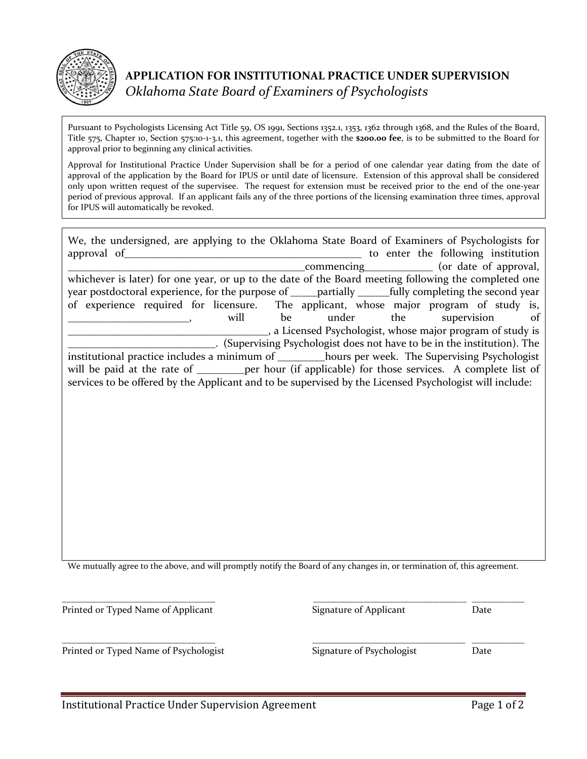

Pursuant to Psychologists Licensing Act Title 59, OS 1991, Sections 1352.1, 1353, 1362 through 1368, and the Rules of the Board, Title 575, Chapter 10, Section 575:10-1-3.1, this agreement, together with the **\$200.00 fee**, is to be submitted to the Board for approval prior to beginning any clinical activities.

Approval for Institutional Practice Under Supervision shall be for a period of one calendar year dating from the date of approval of the application by the Board for IPUS or until date of licensure. Extension of this approval shall be considered only upon written request of the supervisee. The request for extension must be received prior to the end of the one-year period of previous approval. If an applicant fails any of the three portions of the licensing examination three times, approval for IPUS will automatically be revoked.

| We, the undersigned, are applying to the Oklahoma State Board of Examiners of Psychologists for         |                                                   |  |                                    |    |
|---------------------------------------------------------------------------------------------------------|---------------------------------------------------|--|------------------------------------|----|
| approval of                                                                                             |                                                   |  | to enter the following institution |    |
|                                                                                                         | _commencing________________ (or date of approval, |  |                                    |    |
| whichever is later) for one year, or up to the date of the Board meeting following the completed one    |                                                   |  |                                    |    |
| year postdoctoral experience, for the purpose of _____partially ______fully completing the second year  |                                                   |  |                                    |    |
| of experience required for licensure. The applicant, whose major program of study is,                   |                                                   |  |                                    |    |
| will                                                                                                    | be under the supervision                          |  |                                    | of |
| _, a Licensed Psychologist, whose major program of study is                                             |                                                   |  |                                    |    |
| . (Supervising Psychologist does not have to be in the institution). The                                |                                                   |  |                                    |    |
| institutional practice includes a minimum of ________hours per week. The Supervising Psychologist       |                                                   |  |                                    |    |
| will be paid at the rate of _________ per hour (if applicable) for those services. A complete list of   |                                                   |  |                                    |    |
| services to be offered by the Applicant and to be supervised by the Licensed Psychologist will include: |                                                   |  |                                    |    |
|                                                                                                         |                                                   |  |                                    |    |

We mutually agree to the above, and will promptly notify the Board of any changes in, or termination of, this agreement.

\_\_\_\_\_\_\_\_\_\_\_\_\_\_\_\_\_\_\_\_\_\_\_\_\_\_\_\_\_\_\_\_ \_\_\_\_\_\_\_\_\_\_\_\_\_\_\_\_\_\_\_\_\_\_\_\_\_\_\_\_\_\_\_\_ \_\_\_\_\_\_\_\_\_\_\_ Printed or Typed Name of Applicant Signature of Applicant Date

Printed or Typed Name of Psychologist Signature of Psychologist Date

\_\_\_\_\_\_\_\_\_\_\_\_\_\_\_\_\_\_\_\_\_\_\_\_\_\_\_\_\_\_\_\_ \_\_\_\_\_\_\_\_\_\_\_\_\_\_\_\_\_\_\_\_\_\_\_\_\_\_\_\_\_\_\_\_ \_\_\_\_\_\_\_\_\_\_\_